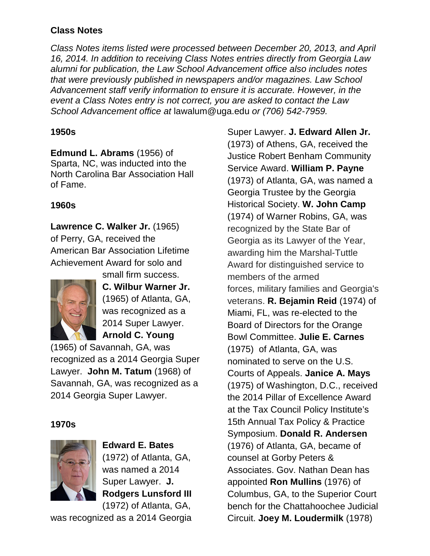## **Class Notes**

*Class Notes items listed were processed between December 20, 2013, and April 16, 2014. In addition to receiving Class Notes entries directly from Georgia Law alumni for publication, the Law School Advancement office also includes notes that were previously published in newspapers and/or magazines. Law School Advancement staff verify information to ensure it is accurate. However, in the event a Class Notes entry is not correct, you are asked to contact the Law School Advancement office at* lawalum@uga.edu *or (706) 542-7959.*

### **1950s**

**Edmund L. Abrams** (1956) of Sparta, NC, was inducted into the North Carolina Bar Association Hall of Fame.

## **1960s**

**Lawrence C. Walker Jr.** (1965) of Perry, GA, received the American Bar Association Lifetime Achievement Award for solo and



small firm success. **C. Wilbur Warner Jr.**  (1965) of Atlanta, GA, was recognized as a 2014 Super Lawyer. **Arnold C. Young**

(1965) of Savannah, GA, was recognized as a 2014 Georgia Super Lawyer. **John M. Tatum** (1968) of Savannah, GA, was recognized as a 2014 Georgia Super Lawyer.

### **1970s**



**Edward E. Bates** (1972) of Atlanta, GA, was named a 2014 Super Lawyer. **J. Rodgers Lunsford III** (1972) of Atlanta, GA,

was recognized as a 2014 Georgia

Super Lawyer. **J. Edward Allen Jr.**  (1973) of Athens, GA, received the Justice Robert Benham Community Service Award. **William P. Payne** (1973) of Atlanta, GA, was named a Georgia Trustee by the Georgia Historical Society. **W. John Camp** (1974) of Warner Robins, GA, was recognized by the State Bar of Georgia as its Lawyer of the Year, awarding him the Marshal-Tuttle Award for distinguished service to members of the armed forces, military families and Georgia's veterans. **R. Bejamin Reid** (1974) of Miami, FL, was re-elected to the Board of Directors for the Orange Bowl Committee. **Julie E. Carnes** (1975) of Atlanta, GA, was nominated to serve on the U.S. Courts of Appeals. **Janice A. Mays** (1975) of Washington, D.C., received the 2014 Pillar of Excellence Award at the Tax Council Policy Institute's 15th Annual Tax Policy & Practice Symposium. **Donald R. Andersen** (1976) of Atlanta, GA, became of counsel at Gorby Peters & Associates. Gov. Nathan Dean has appointed **Ron Mullins** (1976) of Columbus, GA, to the Superior Court bench for the Chattahoochee Judicial Circuit. **Joey M. Loudermilk** (1978)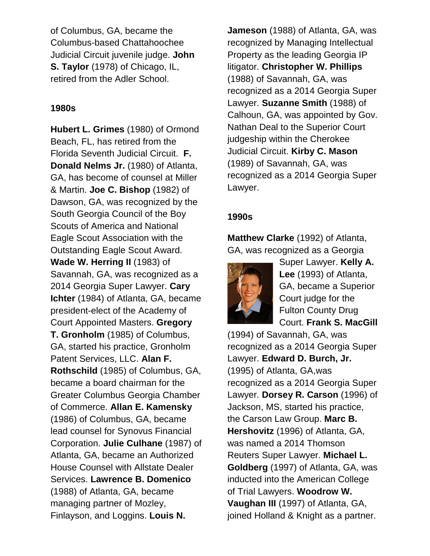of Columbus, GA, became the Columbus-based Chattahoochee Judicial Circuit juvenile judge. **John S. Taylor** (1978) of Chicago, IL, retired from the Adler School.

#### **1980s**

**Hubert L. Grimes** (1980) of Ormond Beach, FL, has retired from the Florida Seventh Judicial Circuit. **F. Donald Nelms Jr.** (1980) of Atlanta, GA, has become of counsel at Miller & Martin. **Joe C. Bishop** (1982) of Dawson, GA, was recognized by the South Georgia Council of the Boy Scouts of America and National Eagle Scout Association with the Outstanding Eagle Scout Award. **Wade W. Herring II** (1983) of Savannah, GA, was recognized as a 2014 Georgia Super Lawyer. **Cary Ichter** (1984) of Atlanta, GA, became president-elect of the Academy of Court Appointed Masters. **Gregory T. Gronholm** (1985) of Columbus, GA, started his practice, Gronholm Patent Services, LLC. **Alan F. Rothschild** (1985) of Columbus, GA, became a board chairman for the Greater Columbus Georgia Chamber of Commerce. **Allan E. Kamensky** (1986) of Columbus, GA, became lead counsel for Synovus Financial Corporation. **Julie Culhane** (1987) of Atlanta, GA, became an Authorized House Counsel with Allstate Dealer Services. **Lawrence B. Domenico** (1988) of Atlanta, GA, became managing partner of Mozley, Finlayson, and Loggins. **Louis N.** 

**Jameson** (1988) of Atlanta, GA, was recognized by Managing Intellectual Property as the leading Georgia IP litigator. **Christopher W. Phillips** (1988) of Savannah, GA, was recognized as a 2014 Georgia Super Lawyer. **Suzanne Smith** (1988) of Calhoun, GA, was appointed by Gov. Nathan Deal to the Superior Court judgeship within the Cherokee Judicial Circuit. **Kirby C. Mason** (1989) of Savannah, GA, was recognized as a 2014 Georgia Super Lawyer.

#### **1990s**

**Matthew Clarke** (1992) of Atlanta, GA, was recognized as a Georgia



Super Lawyer. **Kelly A. Lee** (1993) of Atlanta, GA, became a Superior Court judge for the Fulton County Drug Court. **Frank S. MacGill**

(1994) of Savannah, GA, was recognized as a 2014 Georgia Super Lawyer. **Edward D. Burch, Jr.** (1995) of Atlanta, GA,was recognized as a 2014 Georgia Super Lawyer. **Dorsey R. Carson** (1996) of Jackson, MS, started his practice, the Carson Law Group. **Marc B. Hershovitz** (1996) of Atlanta, GA, was named a 2014 Thomson Reuters Super Lawyer. **Michael L. Goldberg** (1997) of Atlanta, GA, was inducted into the American College of Trial Lawyers. **Woodrow W. Vaughan III** (1997) of Atlanta, GA, joined Holland & Knight as a partner.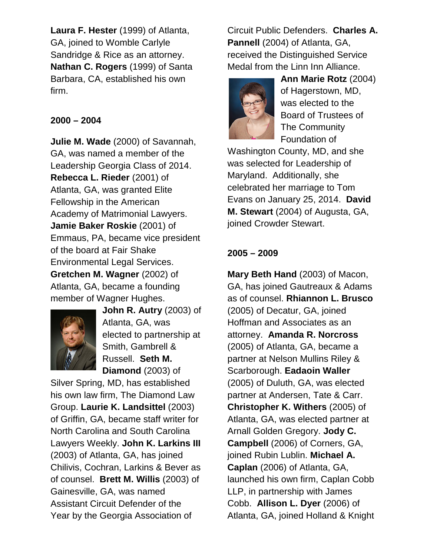**Laura F. Hester** (1999) of Atlanta, GA, joined to Womble Carlyle Sandridge & Rice as an attorney. **Nathan C. Rogers** (1999) of Santa Barbara, CA, established his own firm.

## **2000 – 2004**

**Julie M. Wade** (2000) of Savannah, GA, was named a member of the Leadership Georgia Class of 2014. **Rebecca L. Rieder** (2001) of Atlanta, GA, was granted Elite Fellowship in the American Academy of Matrimonial Lawyers. **Jamie Baker Roskie** (2001) of Emmaus, PA, became vice president of the board at Fair Shake Environmental Legal Services. **Gretchen M. Wagner** (2002) of Atlanta, GA, became a founding member of Wagner Hughes.



**John R. Autry** (2003) of Atlanta, GA, was elected to partnership at Smith, Gambrell & Russell. **Seth M. Diamond** (2003) of

Silver Spring, MD, has established his own law firm, The Diamond Law Group. **Laurie K. Landsittel** (2003) of Griffin, GA, became staff writer for North Carolina and South Carolina Lawyers Weekly. **John K. Larkins III** (2003) of Atlanta, GA, has joined Chilivis, Cochran, Larkins & Bever as of counsel. **Brett M. Willis** (2003) of Gainesville, GA, was named Assistant Circuit Defender of the Year by the Georgia Association of

Circuit Public Defenders. **Charles A. Pannell** (2004) of Atlanta, GA, received the Distinguished Service Medal from the Linn Inn Alliance.



**Ann Marie Rotz** (2004) of Hagerstown, MD, was elected to the Board of Trustees of The Community Foundation of

Washington County, MD, and she was selected for Leadership of Maryland. Additionally, she celebrated her marriage to Tom Evans on January 25, 2014. **David M. Stewart** (2004) of Augusta, GA, joined Crowder Stewart.

# **2005 – 2009**

**Mary Beth Hand** (2003) of Macon, GA, has joined Gautreaux & Adams as of counsel. **Rhiannon L. Brusco** (2005) of Decatur, GA, joined Hoffman and Associates as an attorney. **Amanda R. Norcross** (2005) of Atlanta, GA, became a partner at Nelson Mullins Riley & Scarborough. **Eadaoin Waller** (2005) of Duluth, GA, was elected partner at Andersen, Tate & Carr. **Christopher K. Withers** (2005) of Atlanta, GA, was elected partner at Arnall Golden Gregory. **Jody C. Campbell** (2006) of Corners, GA, joined Rubin Lublin. **Michael A. Caplan** (2006) of Atlanta, GA, launched his own firm, Caplan Cobb LLP, in partnership with James Cobb. **Allison L. Dyer** (2006) of Atlanta, GA, joined Holland & Knight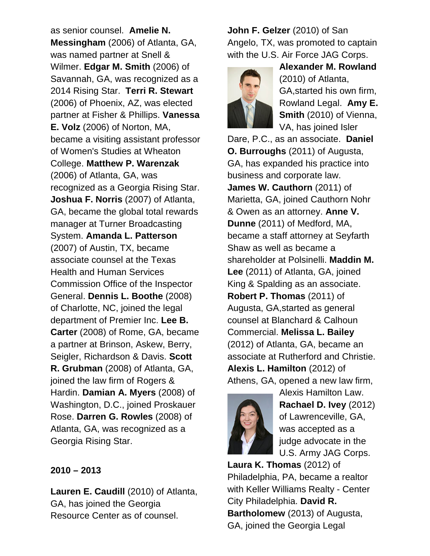as senior counsel. **Amelie N. Messingham** (2006) of Atlanta, GA, was named partner at Snell & Wilmer. **Edgar M. Smith** (2006) of Savannah, GA, was recognized as a 2014 Rising Star. **Terri R. Stewart** (2006) of Phoenix, AZ, was elected partner at Fisher & Phillips. **Vanessa E. Volz** (2006) of Norton, MA, became a visiting assistant professor of Women's Studies at Wheaton College. **Matthew P. Warenzak** (2006) of Atlanta, GA, was recognized as a Georgia Rising Star. **Joshua F. Norris** (2007) of Atlanta, GA, became the global total rewards manager at Turner Broadcasting System. **Amanda L. Patterson** (2007) of Austin, TX, became associate counsel at the Texas Health and Human Services Commission Office of the Inspector General. **Dennis L. Boothe** (2008) of Charlotte, NC, joined the legal department of Premier Inc. **Lee B. Carter** (2008) of Rome, GA, became a partner at Brinson, Askew, Berry, Seigler, Richardson & Davis. **Scott R. Grubman** (2008) of Atlanta, GA, joined the law firm of Rogers & Hardin. **Damian A. Myers** (2008) of Washington, D.C., joined Proskauer Rose. **Darren G. Rowles** (2008) of Atlanta, GA, was recognized as a Georgia Rising Star.

#### **2010 – 2013**

**Lauren E. Caudill** (2010) of Atlanta, GA, has joined the Georgia Resource Center as of counsel.

**John F. Gelzer** (2010) of San Angelo, TX, was promoted to captain with the U.S. Air Force JAG Corps.



**Alexander M. Rowland** (2010) of Atlanta, GA,started his own firm, Rowland Legal. **Amy E. Smith** (2010) of Vienna, VA, has joined Isler

Dare, P.C., as an associate. **Daniel O. Burroughs** (2011) of Augusta, GA, has expanded his practice into business and corporate law. **James W. Cauthorn** (2011) of Marietta, GA, joined Cauthorn Nohr & Owen as an attorney. **Anne V. Dunne** (2011) of Medford, MA, became a staff attorney at Seyfarth Shaw as well as became a shareholder at Polsinelli. **Maddin M. Lee** (2011) of Atlanta, GA, joined King & Spalding as an associate. **Robert P. Thomas** (2011) of Augusta, GA,started as general counsel at Blanchard & Calhoun Commercial. **Melissa L. Bailey** (2012) of Atlanta, GA, became an associate at Rutherford and Christie. **Alexis L. Hamilton** (2012) of Athens, GA, opened a new law firm,



Alexis Hamilton Law. **Rachael D. Ivey** (2012) of Lawrenceville, GA, was accepted as a judge advocate in the U.S. Army JAG Corps.

**Laura K. Thomas** (2012) of Philadelphia, PA, became a realtor with Keller Williams Realty - Center City Philadelphia. **David R. Bartholomew** (2013) of Augusta, GA, joined the Georgia Legal